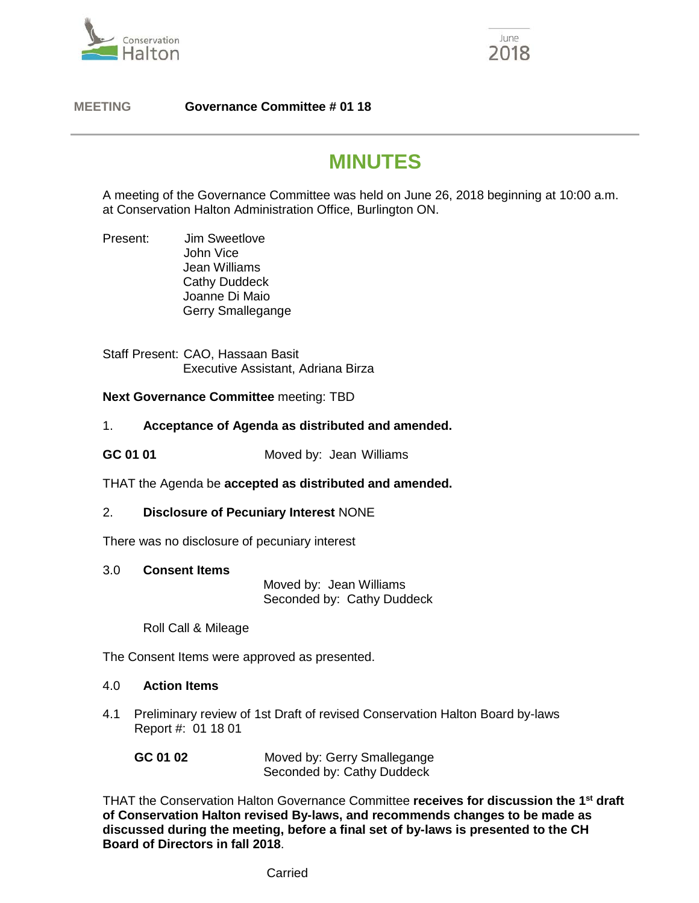



## **MEETING Governance Committee # 01 18**

# **MINUTES**

A meeting of the Governance Committee was held on June 26, 2018 beginning at 10:00 a.m. at Conservation Halton Administration Office, Burlington ON.

Present: Jim Sweetlove John Vice Jean Williams Cathy Duddeck Joanne Di Maio Gerry Smallegange

Staff Present: CAO, Hassaan Basit Executive Assistant, Adriana Birza

### **Next Governance Committee** meeting: TBD

### 1. **Acceptance of Agenda as distributed and amended.**

**GC 01 01** Moved by: Jean Williams

THAT the Agenda be **accepted as distributed and amended.**

### 2. **Disclosure of Pecuniary Interest** NONE

There was no disclosure of pecuniary interest

3.0 **Consent Items**

 Moved by: Jean Williams Seconded by: Cathy Duddeck

Roll Call & Mileage

The Consent Items were approved as presented.

#### 4.0 **Action Items**

4.1Preliminary review of 1st Draft of revised Conservation Halton Board by-laws Report #: 01 18 01

| GC 01 02 | Moved by: Gerry Smallegange |
|----------|-----------------------------|
|          | Seconded by: Cathy Duddeck  |

THAT the Conservation Halton Governance Committee **receives for discussion the 1st draft of Conservation Halton revised By-laws, and recommends changes to be made as discussed during the meeting, before a final set of by-laws is presented to the CH Board of Directors in fall 2018**.

**Carried**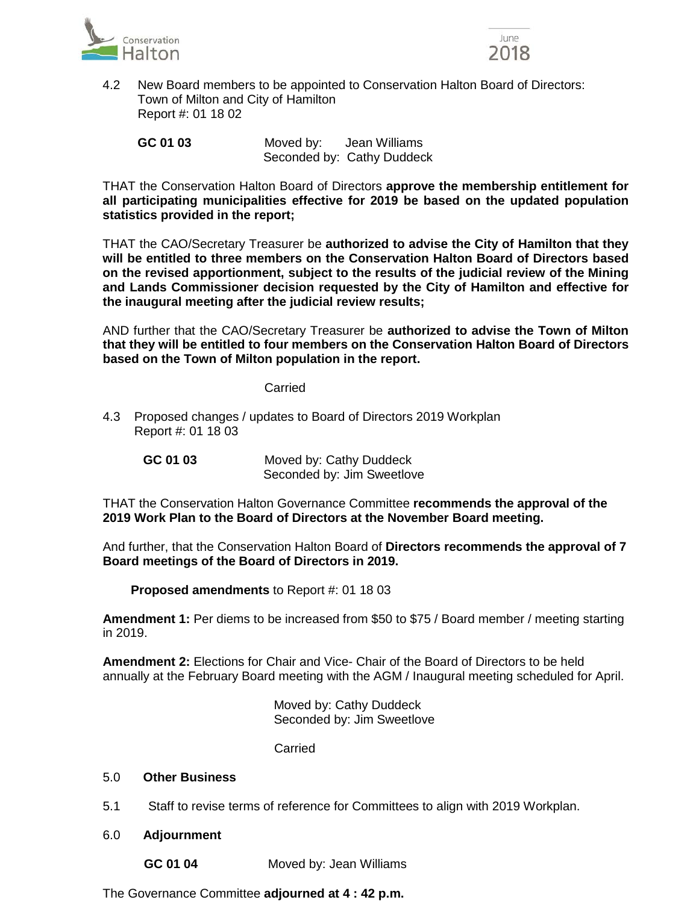



 4.2 New Board members to be appointed to Conservation Halton Board of Directors: Town of Milton and City of Hamilton Report #: 01 18 02

 **GC 01 03** Moved by: Jean Williams Seconded by: Cathy Duddeck

THAT the Conservation Halton Board of Directors **approve the membership entitlement for all participating municipalities effective for 2019 be based on the updated population statistics provided in the report;**

THAT the CAO/Secretary Treasurer be **authorized to advise the City of Hamilton that they will be entitled to three members on the Conservation Halton Board of Directors based on the revised apportionment, subject to the results of the judicial review of the Mining and Lands Commissioner decision requested by the City of Hamilton and effective for the inaugural meeting after the judicial review results;**

AND further that the CAO/Secretary Treasurer be **authorized to advise the Town of Milton that they will be entitled to four members on the Conservation Halton Board of Directors based on the Town of Milton population in the report.**

#### Carried

4.3 Proposed changes / updates to Board of Directors 2019 Workplan Report #: 01 18 03

**GC 01 03** Moved by: Cathy Duddeck Seconded by: Jim Sweetlove

THAT the Conservation Halton Governance Committee **recommends the approval of the 2019 Work Plan to the Board of Directors at the November Board meeting.**

And further, that the Conservation Halton Board of **Directors recommends the approval of 7 Board meetings of the Board of Directors in 2019.**

 **Proposed amendments** to Report #: 01 18 03

**Amendment 1:** Per diems to be increased from \$50 to \$75 / Board member / meeting starting in 2019.

**Amendment 2:** Elections for Chair and Vice- Chair of the Board of Directors to be held annually at the February Board meeting with the AGM / Inaugural meeting scheduled for April.

> Moved by: Cathy Duddeck Seconded by: Jim Sweetlove

Carried

### 5.0 **Other Business**

- 5.1 Staff to revise terms of reference for Committees to align with 2019 Workplan.
- 6.0 **Adjournment**
	- **GC 01 04** Moved by: Jean Williams

The Governance Committee **adjourned at 4 : 42 p.m.**